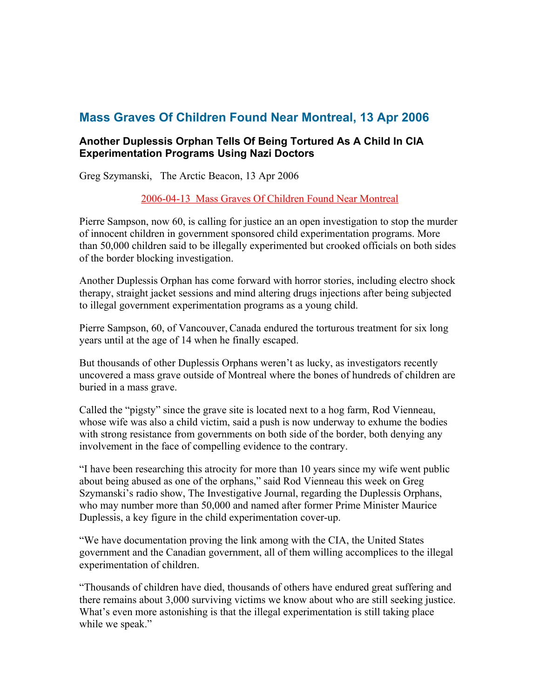## **Mass Graves Of Children Found Near Montreal, 13 Apr 2006**

#### **Another Duplessis Orphan Tells Of Being Tortured As A Child In CIA Experimentation Programs Using Nazi Doctors**

Greg Szymanski, The Arctic Beacon, 13 Apr 2006

[2006-04-13](http://www.arcticbeacon.citymaker.com/articles/article/1518131/47562.htm) [Mass](http://www.arcticbeacon.citymaker.com/articles/article/1518131/47562.htm) [Graves](http://www.arcticbeacon.citymaker.com/articles/article/1518131/47562.htm) [Of](http://www.arcticbeacon.citymaker.com/articles/article/1518131/47562.htm) [Children](http://www.arcticbeacon.citymaker.com/articles/article/1518131/47562.htm) [Found](http://www.arcticbeacon.citymaker.com/articles/article/1518131/47562.htm) [Near](http://www.arcticbeacon.citymaker.com/articles/article/1518131/47562.htm) [Montreal](http://www.arcticbeacon.citymaker.com/articles/article/1518131/47562.htm)

Pierre Sampson, now 60, is calling for justice an an open investigation to stop the murder of innocent children in government sponsored child experimentation programs. More than 50,000 children said to be illegally experimented but crooked officials on both sides of the border blocking investigation.

Another Duplessis Orphan has come forward with horror stories, including electro shock therapy, straight jacket sessions and mind altering drugs injections after being subjected to illegal government experimentation programs as a young child.

Pierre Sampson, 60, of Vancouver, Canada endured the torturous treatment for six long years until at the age of 14 when he finally escaped.

But thousands of other Duplessis Orphans weren't as lucky, as investigators recently uncovered a mass grave outside of Montreal where the bones of hundreds of children are buried in a mass grave.

Called the "pigsty" since the grave site is located next to a hog farm, Rod Vienneau, whose wife was also a child victim, said a push is now underway to exhume the bodies with strong resistance from governments on both side of the border, both denying any involvement in the face of compelling evidence to the contrary.

"I have been researching this atrocity for more than 10 years since my wife went public about being abused as one of the orphans," said Rod Vienneau this week on Greg Szymanski's radio show, The Investigative Journal, regarding the Duplessis Orphans, who may number more than 50,000 and named after former Prime Minister Maurice Duplessis, a key figure in the child experimentation cover-up.

"We have documentation proving the link among with the CIA, the United States government and the Canadian government, all of them willing accomplices to the illegal experimentation of children.

"Thousands of children have died, thousands of others have endured great suffering and there remains about 3,000 surviving victims we know about who are still seeking justice. What's even more astonishing is that the illegal experimentation is still taking place while we speak."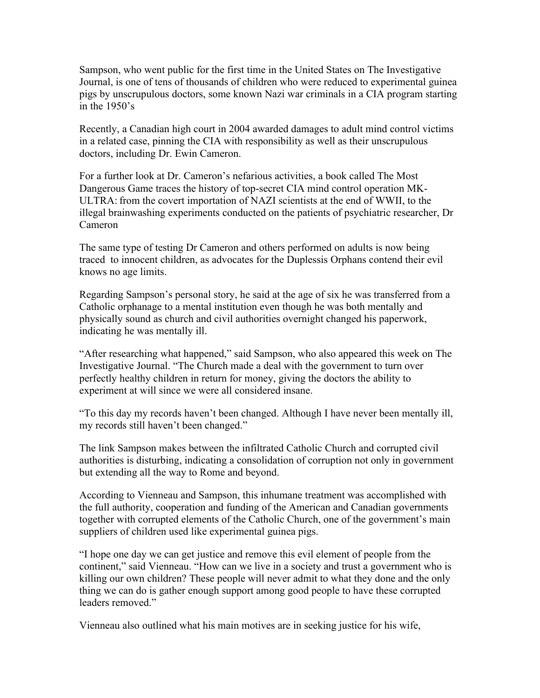Sampson, who went public for the first time in the United States on The Investigative Journal, is one of tens of thousands of children who were reduced to experimental guinea pigs by unscrupulous doctors, some known Nazi war criminals in a CIA program starting in the  $1950's$ 

Recently, a Canadian high court in 2004 awarded damages to adult mind control victims in a related case, pinning the CIA with responsibility as well as their unscrupulous doctors, including Dr. Ewin Cameron.

For a further look at Dr. Cameron's nefarious activities, a book called The Most Dangerous Game traces the history of top-secret CIA mind control operation MK-ULTRA: from the covert importation of NAZI scientists at the end of WWII, to the illegal brainwashing experiments conducted on the patients of psychiatric researcher, Dr Cameron

The same type of testing Dr Cameron and others performed on adults is now being traced to innocent children, as advocates for the Duplessis Orphans contend their evil knows no age limits.

Regarding Sampson's personal story, he said at the age of six he was transferred from a Catholic orphanage to a mental institution even though he was both mentally and physically sound as church and civil authorities overnight changed his paperwork, indicating he was mentally ill.

"After researching what happened," said Sampson, who also appeared this week on The Investigative Journal. "The Church made a deal with the government to turn over perfectly healthy children in return for money, giving the doctors the ability to experiment at will since we were all considered insane.

"To this day my records haven't been changed. Although I have never been mentally ill, my records still haven't been changed."

The link Sampson makes between the infiltrated Catholic Church and corrupted civil authorities is disturbing, indicating a consolidation of corruption not only in government but extending all the way to Rome and beyond.

According to Vienneau and Sampson, this inhumane treatment was accomplished with the full authority, cooperation and funding of the American and Canadian governments together with corrupted elements of the Catholic Church, one of the government's main suppliers of children used like experimental guinea pigs.

"I hope one day we can get justice and remove this evil element of people from the continent," said Vienneau. "How can we live in a society and trust a government who is killing our own children? These people will never admit to what they done and the only thing we can do is gather enough support among good people to have these corrupted leaders removed."

Vienneau also outlined what his main motives are in seeking justice for his wife,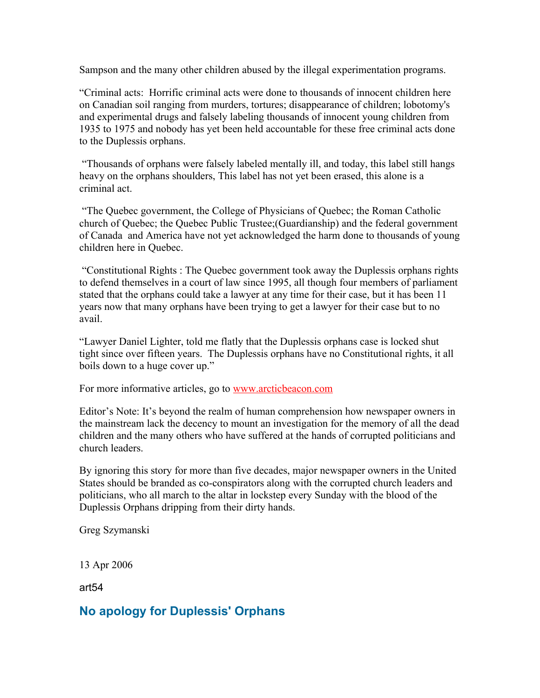Sampson and the many other children abused by the illegal experimentation programs.

"Criminal acts: Horrific criminal acts were done to thousands of innocent children here on Canadian soil ranging from murders, tortures; disappearance of children; lobotomy's and experimental drugs and falsely labeling thousands of innocent young children from 1935 to 1975 and nobody has yet been held accountable for these free criminal acts done to the Duplessis orphans.

 "Thousands of orphans were falsely labeled mentally ill, and today, this label still hangs heavy on the orphans shoulders, This label has not yet been erased, this alone is a criminal act.

 "The Quebec government, the College of Physicians of Quebec; the Roman Catholic church of Quebec; the Quebec Public Trustee;(Guardianship) and the federal government of Canada and America have not yet acknowledged the harm done to thousands of young children here in Quebec.

 "Constitutional Rights : The Quebec government took away the Duplessis orphans rights to defend themselves in a court of law since 1995, all though four members of parliament stated that the orphans could take a lawyer at any time for their case, but it has been 11 years now that many orphans have been trying to get a lawyer for their case but to no avail.

"Lawyer Daniel Lighter, told me flatly that the Duplessis orphans case is locked shut tight since over fifteen years. The Duplessis orphans have no Constitutional rights, it all boils down to a huge cover up."

For more informative articles, go to [www.arcticbeacon.com](http://www.arcticbeacon.com/)

Editor's Note: It's beyond the realm of human comprehension how newspaper owners in the mainstream lack the decency to mount an investigation for the memory of all the dead children and the many others who have suffered at the hands of corrupted politicians and church leaders.

By ignoring this story for more than five decades, major newspaper owners in the United States should be branded as co-conspirators along with the corrupted church leaders and politicians, who all march to the altar in lockstep every Sunday with the blood of the Duplessis Orphans dripping from their dirty hands.

Greg Szymanski

13 Apr 2006

art54

### **No apology for Duplessis' Orphans**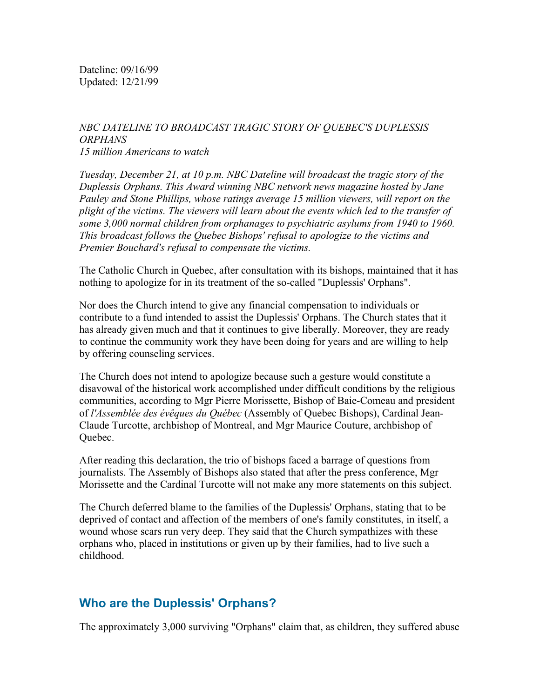Dateline: 09/16/99 Updated: 12/21/99

#### *NBC DATELINE TO BROADCAST TRAGIC STORY OF QUEBEC'S DUPLESSIS ORPHANS 15 million Americans to watch*

*Tuesday, December 21, at 10 p.m. NBC Dateline will broadcast the tragic story of the Duplessis Orphans. This Award winning NBC network news magazine hosted by Jane Pauley and Stone Phillips, whose ratings average 15 million viewers, will report on the plight of the victims. The viewers will learn about the events which led to the transfer of some 3,000 normal children from orphanages to psychiatric asylums from 1940 to 1960. This broadcast follows the Quebec Bishops' refusal to apologize to the victims and Premier Bouchard's refusal to compensate the victims.*

The Catholic Church in Quebec, after consultation with its bishops, maintained that it has nothing to apologize for in its treatment of the so-called "Duplessis' Orphans".

Nor does the Church intend to give any financial compensation to individuals or contribute to a fund intended to assist the Duplessis' Orphans. The Church states that it has already given much and that it continues to give liberally. Moreover, they are ready to continue the community work they have been doing for years and are willing to help by offering counseling services.

The Church does not intend to apologize because such a gesture would constitute a disavowal of the historical work accomplished under difficult conditions by the religious communities, according to Mgr Pierre Morissette, Bishop of Baie-Comeau and president of *l'Assemblée des évêques du Québec* (Assembly of Quebec Bishops), Cardinal Jean-Claude Turcotte, archbishop of Montreal, and Mgr Maurice Couture, archbishop of Quebec.

After reading this declaration, the trio of bishops faced a barrage of questions from journalists. The Assembly of Bishops also stated that after the press conference, Mgr Morissette and the Cardinal Turcotte will not make any more statements on this subject.

The Church deferred blame to the families of the Duplessis' Orphans, stating that to be deprived of contact and affection of the members of one's family constitutes, in itself, a wound whose scars run very deep. They said that the Church sympathizes with these orphans who, placed in institutions or given up by their families, had to live such a childhood.

### **Who are the Duplessis' Orphans?**

The approximately 3,000 surviving "Orphans" claim that, as children, they suffered abuse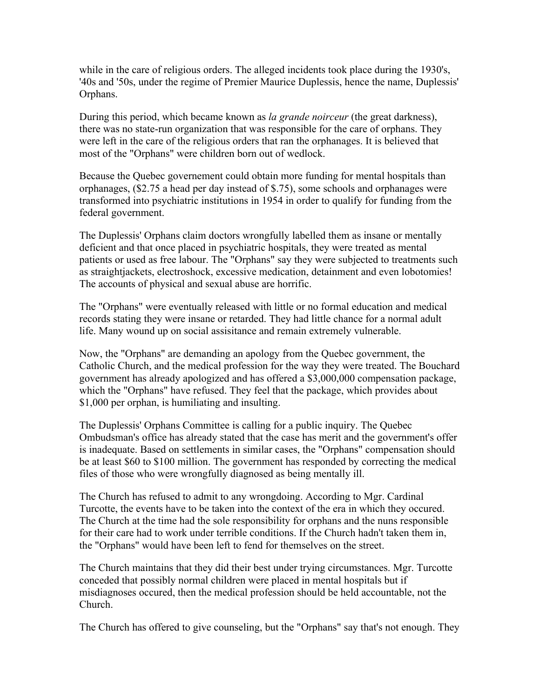while in the care of religious orders. The alleged incidents took place during the 1930's, '40s and '50s, under the regime of Premier Maurice Duplessis, hence the name, Duplessis' Orphans.

During this period, which became known as *la grande noirceur* (the great darkness), there was no state-run organization that was responsible for the care of orphans. They were left in the care of the religious orders that ran the orphanages. It is believed that most of the "Orphans" were children born out of wedlock.

Because the Quebec governement could obtain more funding for mental hospitals than orphanages, (\$2.75 a head per day instead of \$.75), some schools and orphanages were transformed into psychiatric institutions in 1954 in order to qualify for funding from the federal government.

The Duplessis' Orphans claim doctors wrongfully labelled them as insane or mentally deficient and that once placed in psychiatric hospitals, they were treated as mental patients or used as free labour. The "Orphans" say they were subjected to treatments such as straightjackets, electroshock, excessive medication, detainment and even lobotomies! The accounts of physical and sexual abuse are horrific.

The "Orphans" were eventually released with little or no formal education and medical records stating they were insane or retarded. They had little chance for a normal adult life. Many wound up on social assisitance and remain extremely vulnerable.

Now, the "Orphans" are demanding an apology from the Quebec government, the Catholic Church, and the medical profession for the way they were treated. The Bouchard government has already apologized and has offered a \$3,000,000 compensation package, which the "Orphans" have refused. They feel that the package, which provides about \$1,000 per orphan, is humiliating and insulting.

The Duplessis' Orphans Committee is calling for a public inquiry. The Quebec Ombudsman's office has already stated that the case has merit and the government's offer is inadequate. Based on settlements in similar cases, the "Orphans" compensation should be at least \$60 to \$100 million. The government has responded by correcting the medical files of those who were wrongfully diagnosed as being mentally ill.

The Church has refused to admit to any wrongdoing. According to Mgr. Cardinal Turcotte, the events have to be taken into the context of the era in which they occured. The Church at the time had the sole responsibility for orphans and the nuns responsible for their care had to work under terrible conditions. If the Church hadn't taken them in, the "Orphans" would have been left to fend for themselves on the street.

The Church maintains that they did their best under trying circumstances. Mgr. Turcotte conceded that possibly normal children were placed in mental hospitals but if misdiagnoses occured, then the medical profession should be held accountable, not the Church.

The Church has offered to give counseling, but the "Orphans" say that's not enough. They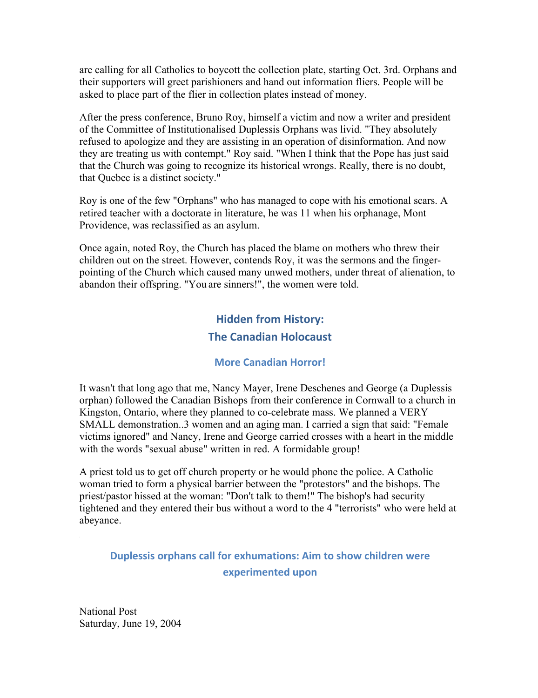are calling for all Catholics to boycott the collection plate, starting Oct. 3rd. Orphans and their supporters will greet parishioners and hand out information fliers. People will be asked to place part of the flier in collection plates instead of money.

After the press conference, Bruno Roy, himself a victim and now a writer and president of the Committee of Institutionalised Duplessis Orphans was livid. "They absolutely refused to apologize and they are assisting in an operation of disinformation. And now they are treating us with contempt." Roy said. "When I think that the Pope has just said that the Church was going to recognize its historical wrongs. Really, there is no doubt, that Quebec is a distinct society."

Roy is one of the few "Orphans" who has managed to cope with his emotional scars. A retired teacher with a doctorate in literature, he was 11 when his orphanage, Mont Providence, was reclassified as an asylum.

Once again, noted Roy, the Church has placed the blame on mothers who threw their children out on the street. However, contends Roy, it was the sermons and the fingerpointing of the Church which caused many unwed mothers, under threat of alienation, to abandon their offspring. "You are sinners!", the women were told.

# **Hidden from History: The Canadian Holocaust**

#### **More Canadian Horror!**

It wasn't that long ago that me, Nancy Mayer, Irene Deschenes and George (a Duplessis orphan) followed the Canadian Bishops from their conference in Cornwall to a church in Kingston, Ontario, where they planned to co-celebrate mass. We planned a VERY SMALL demonstration..3 women and an aging man. I carried a sign that said: "Female victims ignored" and Nancy, Irene and George carried crosses with a heart in the middle with the words "sexual abuse" written in red. A formidable group!

A priest told us to get off church property or he would phone the police. A Catholic woman tried to form a physical barrier between the "protestors" and the bishops. The priest/pastor hissed at the woman: "Don't talk to them!" The bishop's had security tightened and they entered their bus without a word to the 4 "terrorists" who were held at abeyance.

### **Duplessis orphans call for exhumations: Aim to show children were experimented upon**

National Post Saturday, June 19, 2004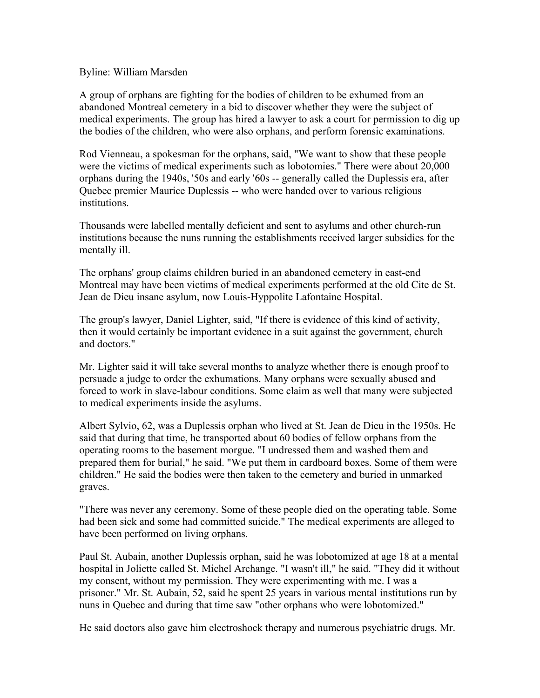#### Byline: William Marsden

A group of orphans are fighting for the bodies of children to be exhumed from an abandoned Montreal cemetery in a bid to discover whether they were the subject of medical experiments. The group has hired a lawyer to ask a court for permission to dig up the bodies of the children, who were also orphans, and perform forensic examinations.

Rod Vienneau, a spokesman for the orphans, said, "We want to show that these people were the victims of medical experiments such as lobotomies." There were about 20,000 orphans during the 1940s, '50s and early '60s -- generally called the Duplessis era, after Quebec premier Maurice Duplessis -- who were handed over to various religious institutions.

Thousands were labelled mentally deficient and sent to asylums and other church-run institutions because the nuns running the establishments received larger subsidies for the mentally ill.

The orphans' group claims children buried in an abandoned cemetery in east-end Montreal may have been victims of medical experiments performed at the old Cite de St. Jean de Dieu insane asylum, now Louis-Hyppolite Lafontaine Hospital.

The group's lawyer, Daniel Lighter, said, "If there is evidence of this kind of activity, then it would certainly be important evidence in a suit against the government, church and doctors."

Mr. Lighter said it will take several months to analyze whether there is enough proof to persuade a judge to order the exhumations. Many orphans were sexually abused and forced to work in slave-labour conditions. Some claim as well that many were subjected to medical experiments inside the asylums.

Albert Sylvio, 62, was a Duplessis orphan who lived at St. Jean de Dieu in the 1950s. He said that during that time, he transported about 60 bodies of fellow orphans from the operating rooms to the basement morgue. "I undressed them and washed them and prepared them for burial," he said. "We put them in cardboard boxes. Some of them were children." He said the bodies were then taken to the cemetery and buried in unmarked graves.

"There was never any ceremony. Some of these people died on the operating table. Some had been sick and some had committed suicide." The medical experiments are alleged to have been performed on living orphans.

Paul St. Aubain, another Duplessis orphan, said he was lobotomized at age 18 at a mental hospital in Joliette called St. Michel Archange. "I wasn't ill," he said. "They did it without my consent, without my permission. They were experimenting with me. I was a prisoner." Mr. St. Aubain, 52, said he spent 25 years in various mental institutions run by nuns in Quebec and during that time saw "other orphans who were lobotomized."

He said doctors also gave him electroshock therapy and numerous psychiatric drugs. Mr.